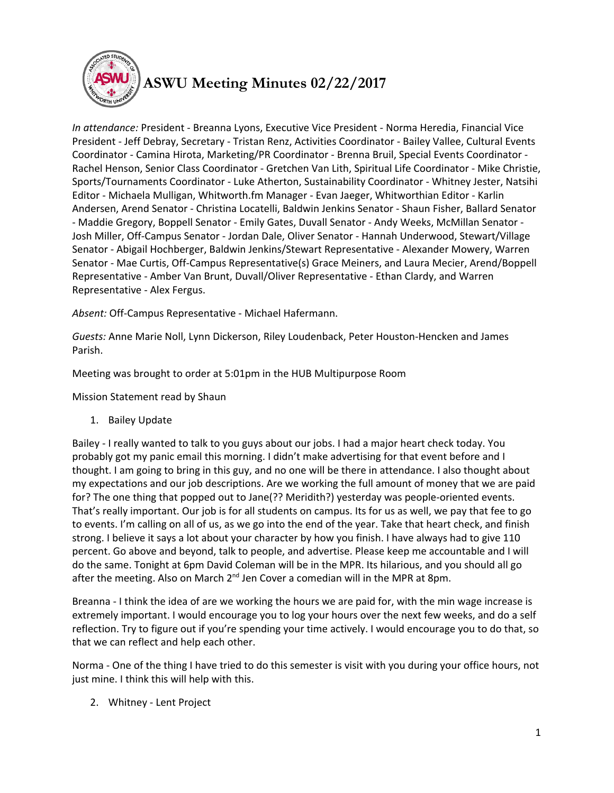

## **ASWU Meeting Minutes 02/22/2017**

*In attendance:* President - Breanna Lyons, Executive Vice President - Norma Heredia, Financial Vice President - Jeff Debray, Secretary - Tristan Renz, Activities Coordinator - Bailey Vallee, Cultural Events Coordinator - Camina Hirota, Marketing/PR Coordinator - Brenna Bruil, Special Events Coordinator - Rachel Henson, Senior Class Coordinator - Gretchen Van Lith, Spiritual Life Coordinator - Mike Christie, Sports/Tournaments Coordinator - Luke Atherton, Sustainability Coordinator - Whitney Jester, Natsihi Editor - Michaela Mulligan, Whitworth.fm Manager - Evan Jaeger, Whitworthian Editor - Karlin Andersen, Arend Senator - Christina Locatelli, Baldwin Jenkins Senator - Shaun Fisher, Ballard Senator - Maddie Gregory, Boppell Senator - Emily Gates, Duvall Senator - Andy Weeks, McMillan Senator - Josh Miller, Off-Campus Senator - Jordan Dale, Oliver Senator - Hannah Underwood, Stewart/Village Senator - Abigail Hochberger, Baldwin Jenkins/Stewart Representative - Alexander Mowery, Warren Senator - Mae Curtis, Off-Campus Representative(s) Grace Meiners, and Laura Mecier, Arend/Boppell Representative - Amber Van Brunt, Duvall/Oliver Representative - Ethan Clardy, and Warren Representative - Alex Fergus.

*Absent:* Off-Campus Representative - Michael Hafermann.

*Guests:* Anne Marie Noll, Lynn Dickerson, Riley Loudenback, Peter Houston-Hencken and James Parish.

Meeting was brought to order at 5:01pm in the HUB Multipurpose Room

Mission Statement read by Shaun

1. Bailey Update

Bailey - I really wanted to talk to you guys about our jobs. I had a major heart check today. You probably got my panic email this morning. I didn't make advertising for that event before and I thought. I am going to bring in this guy, and no one will be there in attendance. I also thought about my expectations and our job descriptions. Are we working the full amount of money that we are paid for? The one thing that popped out to Jane(?? Meridith?) yesterday was people-oriented events. That's really important. Our job is for all students on campus. Its for us as well, we pay that fee to go to events. I'm calling on all of us, as we go into the end of the year. Take that heart check, and finish strong. I believe it says a lot about your character by how you finish. I have always had to give 110 percent. Go above and beyond, talk to people, and advertise. Please keep me accountable and I will do the same. Tonight at 6pm David Coleman will be in the MPR. Its hilarious, and you should all go after the meeting. Also on March  $2^{nd}$  Jen Cover a comedian will in the MPR at 8pm.

Breanna - I think the idea of are we working the hours we are paid for, with the min wage increase is extremely important. I would encourage you to log your hours over the next few weeks, and do a self reflection. Try to figure out if you're spending your time actively. I would encourage you to do that, so that we can reflect and help each other.

Norma - One of the thing I have tried to do this semester is visit with you during your office hours, not just mine. I think this will help with this.

2. Whitney - Lent Project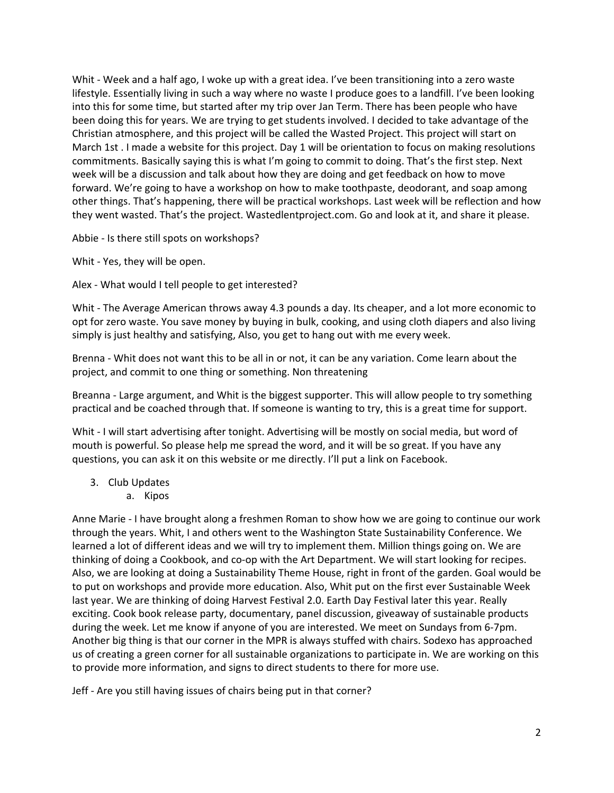Whit - Week and a half ago, I woke up with a great idea. I've been transitioning into a zero waste lifestyle. Essentially living in such a way where no waste I produce goes to a landfill. I've been looking into this for some time, but started after my trip over Jan Term. There has been people who have been doing this for years. We are trying to get students involved. I decided to take advantage of the Christian atmosphere, and this project will be called the Wasted Project. This project will start on March 1st . I made a website for this project. Day 1 will be orientation to focus on making resolutions commitments. Basically saying this is what I'm going to commit to doing. That's the first step. Next week will be a discussion and talk about how they are doing and get feedback on how to move forward. We're going to have a workshop on how to make toothpaste, deodorant, and soap among other things. That's happening, there will be practical workshops. Last week will be reflection and how they went wasted. That's the project. Wastedlentproject.com. Go and look at it, and share it please.

Abbie - Is there still spots on workshops?

Whit - Yes, they will be open.

Alex - What would I tell people to get interested?

Whit - The Average American throws away 4.3 pounds a day. Its cheaper, and a lot more economic to opt for zero waste. You save money by buying in bulk, cooking, and using cloth diapers and also living simply is just healthy and satisfying, Also, you get to hang out with me every week.

Brenna - Whit does not want this to be all in or not, it can be any variation. Come learn about the project, and commit to one thing or something. Non threatening

Breanna - Large argument, and Whit is the biggest supporter. This will allow people to try something practical and be coached through that. If someone is wanting to try, this is a great time for support.

Whit - I will start advertising after tonight. Advertising will be mostly on social media, but word of mouth is powerful. So please help me spread the word, and it will be so great. If you have any questions, you can ask it on this website or me directly. I'll put a link on Facebook.

- 3. Club Updates
	- a. Kipos

Anne Marie - I have brought along a freshmen Roman to show how we are going to continue our work through the years. Whit, I and others went to the Washington State Sustainability Conference. We learned a lot of different ideas and we will try to implement them. Million things going on. We are thinking of doing a Cookbook, and co-op with the Art Department. We will start looking for recipes. Also, we are looking at doing a Sustainability Theme House, right in front of the garden. Goal would be to put on workshops and provide more education. Also, Whit put on the first ever Sustainable Week last year. We are thinking of doing Harvest Festival 2.0. Earth Day Festival later this year. Really exciting. Cook book release party, documentary, panel discussion, giveaway of sustainable products during the week. Let me know if anyone of you are interested. We meet on Sundays from 6-7pm. Another big thing is that our corner in the MPR is always stuffed with chairs. Sodexo has approached us of creating a green corner for all sustainable organizations to participate in. We are working on this to provide more information, and signs to direct students to there for more use.

Jeff - Are you still having issues of chairs being put in that corner?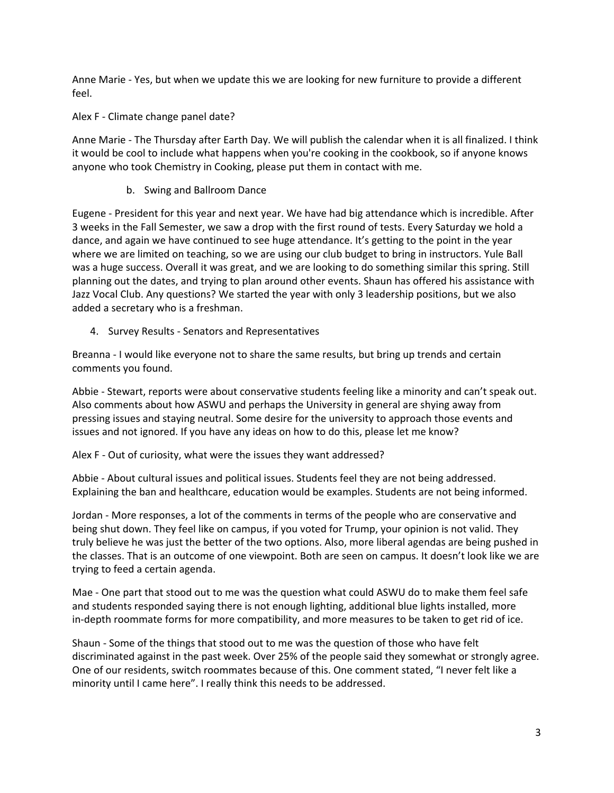Anne Marie - Yes, but when we update this we are looking for new furniture to provide a different feel.

Alex F - Climate change panel date?

Anne Marie - The Thursday after Earth Day. We will publish the calendar when it is all finalized. I think it would be cool to include what happens when you're cooking in the cookbook, so if anyone knows anyone who took Chemistry in Cooking, please put them in contact with me.

b. Swing and Ballroom Dance

Eugene - President for this year and next year. We have had big attendance which is incredible. After 3 weeks in the Fall Semester, we saw a drop with the first round of tests. Every Saturday we hold a dance, and again we have continued to see huge attendance. It's getting to the point in the year where we are limited on teaching, so we are using our club budget to bring in instructors. Yule Ball was a huge success. Overall it was great, and we are looking to do something similar this spring. Still planning out the dates, and trying to plan around other events. Shaun has offered his assistance with Jazz Vocal Club. Any questions? We started the year with only 3 leadership positions, but we also added a secretary who is a freshman.

4. Survey Results - Senators and Representatives

Breanna - I would like everyone not to share the same results, but bring up trends and certain comments you found.

Abbie - Stewart, reports were about conservative students feeling like a minority and can't speak out. Also comments about how ASWU and perhaps the University in general are shying away from pressing issues and staying neutral. Some desire for the university to approach those events and issues and not ignored. If you have any ideas on how to do this, please let me know?

Alex F - Out of curiosity, what were the issues they want addressed?

Abbie - About cultural issues and political issues. Students feel they are not being addressed. Explaining the ban and healthcare, education would be examples. Students are not being informed.

Jordan - More responses, a lot of the comments in terms of the people who are conservative and being shut down. They feel like on campus, if you voted for Trump, your opinion is not valid. They truly believe he was just the better of the two options. Also, more liberal agendas are being pushed in the classes. That is an outcome of one viewpoint. Both are seen on campus. It doesn't look like we are trying to feed a certain agenda.

Mae - One part that stood out to me was the question what could ASWU do to make them feel safe and students responded saying there is not enough lighting, additional blue lights installed, more in-depth roommate forms for more compatibility, and more measures to be taken to get rid of ice.

Shaun - Some of the things that stood out to me was the question of those who have felt discriminated against in the past week. Over 25% of the people said they somewhat or strongly agree. One of our residents, switch roommates because of this. One comment stated, "I never felt like a minority until I came here". I really think this needs to be addressed.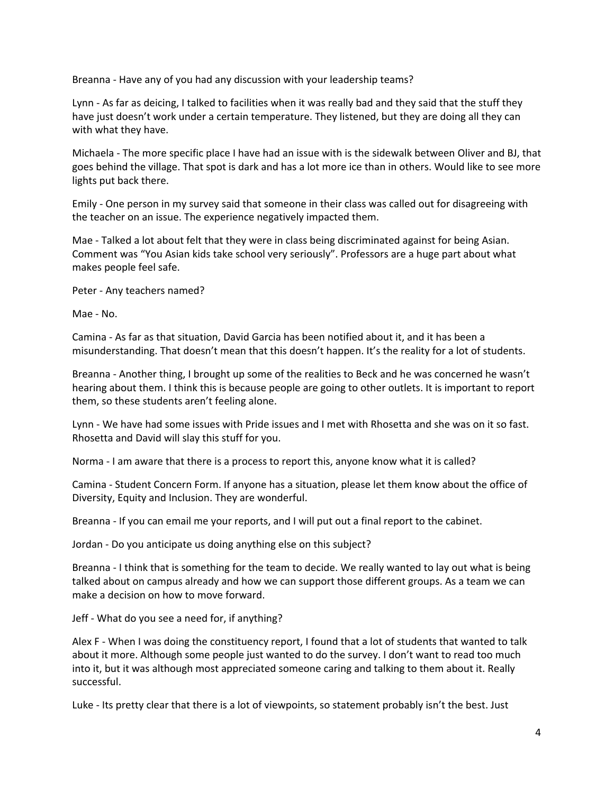Breanna - Have any of you had any discussion with your leadership teams?

Lynn - As far as deicing, I talked to facilities when it was really bad and they said that the stuff they have just doesn't work under a certain temperature. They listened, but they are doing all they can with what they have.

Michaela - The more specific place I have had an issue with is the sidewalk between Oliver and BJ, that goes behind the village. That spot is dark and has a lot more ice than in others. Would like to see more lights put back there.

Emily - One person in my survey said that someone in their class was called out for disagreeing with the teacher on an issue. The experience negatively impacted them.

Mae - Talked a lot about felt that they were in class being discriminated against for being Asian. Comment was "You Asian kids take school very seriously". Professors are a huge part about what makes people feel safe.

Peter - Any teachers named?

Mae - No.

Camina - As far as that situation, David Garcia has been notified about it, and it has been a misunderstanding. That doesn't mean that this doesn't happen. It's the reality for a lot of students.

Breanna - Another thing, I brought up some of the realities to Beck and he was concerned he wasn't hearing about them. I think this is because people are going to other outlets. It is important to report them, so these students aren't feeling alone.

Lynn - We have had some issues with Pride issues and I met with Rhosetta and she was on it so fast. Rhosetta and David will slay this stuff for you.

Norma - I am aware that there is a process to report this, anyone know what it is called?

Camina - Student Concern Form. If anyone has a situation, please let them know about the office of Diversity, Equity and Inclusion. They are wonderful.

Breanna - If you can email me your reports, and I will put out a final report to the cabinet.

Jordan - Do you anticipate us doing anything else on this subject?

Breanna - I think that is something for the team to decide. We really wanted to lay out what is being talked about on campus already and how we can support those different groups. As a team we can make a decision on how to move forward.

Jeff - What do you see a need for, if anything?

Alex F - When I was doing the constituency report, I found that a lot of students that wanted to talk about it more. Although some people just wanted to do the survey. I don't want to read too much into it, but it was although most appreciated someone caring and talking to them about it. Really successful.

Luke - Its pretty clear that there is a lot of viewpoints, so statement probably isn't the best. Just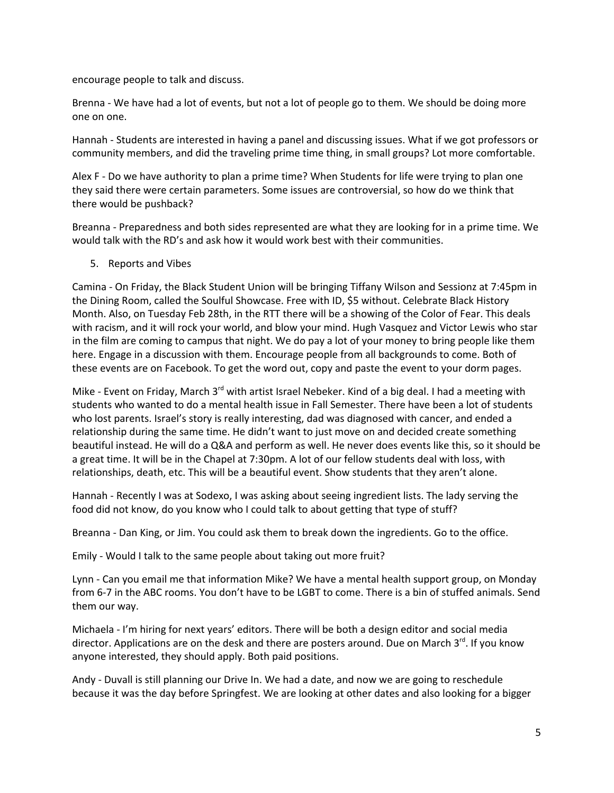encourage people to talk and discuss.

Brenna - We have had a lot of events, but not a lot of people go to them. We should be doing more one on one.

Hannah - Students are interested in having a panel and discussing issues. What if we got professors or community members, and did the traveling prime time thing, in small groups? Lot more comfortable.

Alex F - Do we have authority to plan a prime time? When Students for life were trying to plan one they said there were certain parameters. Some issues are controversial, so how do we think that there would be pushback?

Breanna - Preparedness and both sides represented are what they are looking for in a prime time. We would talk with the RD's and ask how it would work best with their communities.

5. Reports and Vibes

Camina - On Friday, the Black Student Union will be bringing Tiffany Wilson and Sessionz at 7:45pm in the Dining Room, called the Soulful Showcase. Free with ID, \$5 without. Celebrate Black History Month. Also, on Tuesday Feb 28th, in the RTT there will be a showing of the Color of Fear. This deals with racism, and it will rock your world, and blow your mind. Hugh Vasquez and Victor Lewis who star in the film are coming to campus that night. We do pay a lot of your money to bring people like them here. Engage in a discussion with them. Encourage people from all backgrounds to come. Both of these events are on Facebook. To get the word out, copy and paste the event to your dorm pages.

Mike - Event on Friday, March 3<sup>rd</sup> with artist Israel Nebeker. Kind of a big deal. I had a meeting with students who wanted to do a mental health issue in Fall Semester. There have been a lot of students who lost parents. Israel's story is really interesting, dad was diagnosed with cancer, and ended a relationship during the same time. He didn't want to just move on and decided create something beautiful instead. He will do a Q&A and perform as well. He never does events like this, so it should be a great time. It will be in the Chapel at 7:30pm. A lot of our fellow students deal with loss, with relationships, death, etc. This will be a beautiful event. Show students that they aren't alone.

Hannah - Recently I was at Sodexo, I was asking about seeing ingredient lists. The lady serving the food did not know, do you know who I could talk to about getting that type of stuff?

Breanna - Dan King, or Jim. You could ask them to break down the ingredients. Go to the office.

Emily - Would I talk to the same people about taking out more fruit?

Lynn - Can you email me that information Mike? We have a mental health support group, on Monday from 6-7 in the ABC rooms. You don't have to be LGBT to come. There is a bin of stuffed animals. Send them our way.

Michaela - I'm hiring for next years' editors. There will be both a design editor and social media director. Applications are on the desk and there are posters around. Due on March  $3^{rd}$ . If you know anyone interested, they should apply. Both paid positions.

Andy - Duvall is still planning our Drive In. We had a date, and now we are going to reschedule because it was the day before Springfest. We are looking at other dates and also looking for a bigger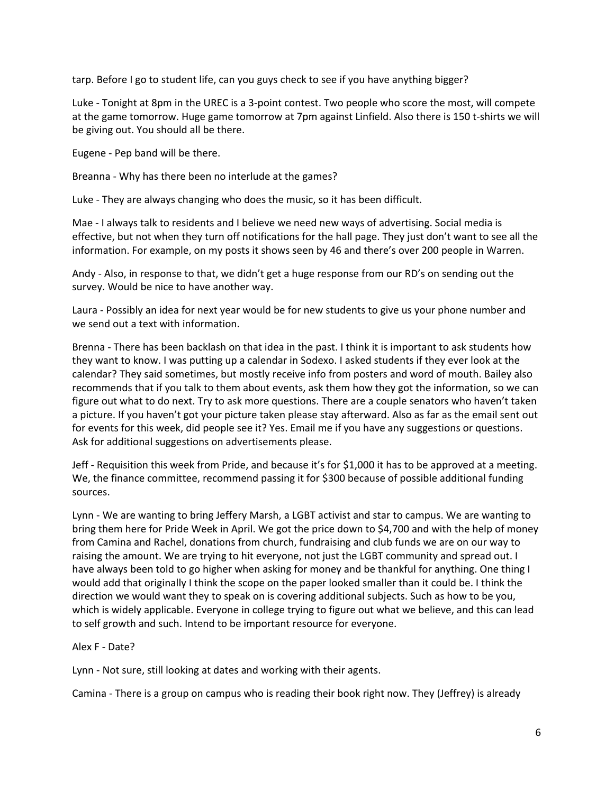tarp. Before I go to student life, can you guys check to see if you have anything bigger?

Luke - Tonight at 8pm in the UREC is a 3-point contest. Two people who score the most, will compete at the game tomorrow. Huge game tomorrow at 7pm against Linfield. Also there is 150 t-shirts we will be giving out. You should all be there.

Eugene - Pep band will be there.

Breanna - Why has there been no interlude at the games?

Luke - They are always changing who does the music, so it has been difficult.

Mae - I always talk to residents and I believe we need new ways of advertising. Social media is effective, but not when they turn off notifications for the hall page. They just don't want to see all the information. For example, on my posts it shows seen by 46 and there's over 200 people in Warren.

Andy - Also, in response to that, we didn't get a huge response from our RD's on sending out the survey. Would be nice to have another way.

Laura - Possibly an idea for next year would be for new students to give us your phone number and we send out a text with information.

Brenna - There has been backlash on that idea in the past. I think it is important to ask students how they want to know. I was putting up a calendar in Sodexo. I asked students if they ever look at the calendar? They said sometimes, but mostly receive info from posters and word of mouth. Bailey also recommends that if you talk to them about events, ask them how they got the information, so we can figure out what to do next. Try to ask more questions. There are a couple senators who haven't taken a picture. If you haven't got your picture taken please stay afterward. Also as far as the email sent out for events for this week, did people see it? Yes. Email me if you have any suggestions or questions. Ask for additional suggestions on advertisements please.

Jeff - Requisition this week from Pride, and because it's for \$1,000 it has to be approved at a meeting. We, the finance committee, recommend passing it for \$300 because of possible additional funding sources.

Lynn - We are wanting to bring Jeffery Marsh, a LGBT activist and star to campus. We are wanting to bring them here for Pride Week in April. We got the price down to \$4,700 and with the help of money from Camina and Rachel, donations from church, fundraising and club funds we are on our way to raising the amount. We are trying to hit everyone, not just the LGBT community and spread out. I have always been told to go higher when asking for money and be thankful for anything. One thing I would add that originally I think the scope on the paper looked smaller than it could be. I think the direction we would want they to speak on is covering additional subjects. Such as how to be you, which is widely applicable. Everyone in college trying to figure out what we believe, and this can lead to self growth and such. Intend to be important resource for everyone.

## Alex F - Date?

Lynn - Not sure, still looking at dates and working with their agents.

Camina - There is a group on campus who is reading their book right now. They (Jeffrey) is already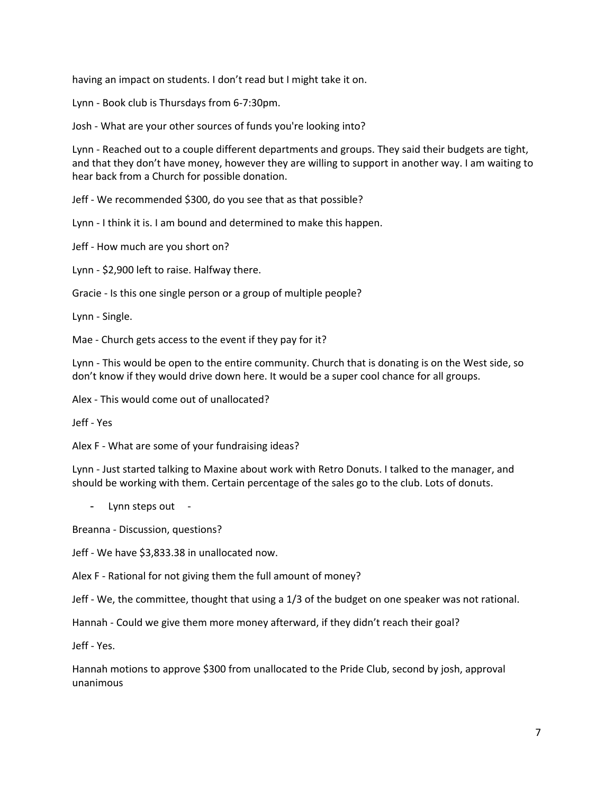having an impact on students. I don't read but I might take it on.

Lynn - Book club is Thursdays from 6-7:30pm.

Josh - What are your other sources of funds you're looking into?

Lynn - Reached out to a couple different departments and groups. They said their budgets are tight, and that they don't have money, however they are willing to support in another way. I am waiting to hear back from a Church for possible donation.

Jeff - We recommended \$300, do you see that as that possible?

Lynn - I think it is. I am bound and determined to make this happen.

Jeff - How much are you short on?

Lynn - \$2,900 left to raise. Halfway there.

Gracie - Is this one single person or a group of multiple people?

Lynn - Single.

Mae - Church gets access to the event if they pay for it?

Lynn - This would be open to the entire community. Church that is donating is on the West side, so don't know if they would drive down here. It would be a super cool chance for all groups.

Alex - This would come out of unallocated?

Jeff - Yes

Alex F - What are some of your fundraising ideas?

Lynn - Just started talking to Maxine about work with Retro Donuts. I talked to the manager, and should be working with them. Certain percentage of the sales go to the club. Lots of donuts.

Lynn steps out -

Breanna - Discussion, questions?

Jeff - We have \$3,833.38 in unallocated now.

Alex F - Rational for not giving them the full amount of money?

Jeff - We, the committee, thought that using a 1/3 of the budget on one speaker was not rational.

Hannah - Could we give them more money afterward, if they didn't reach their goal?

Jeff - Yes.

Hannah motions to approve \$300 from unallocated to the Pride Club, second by josh, approval unanimous